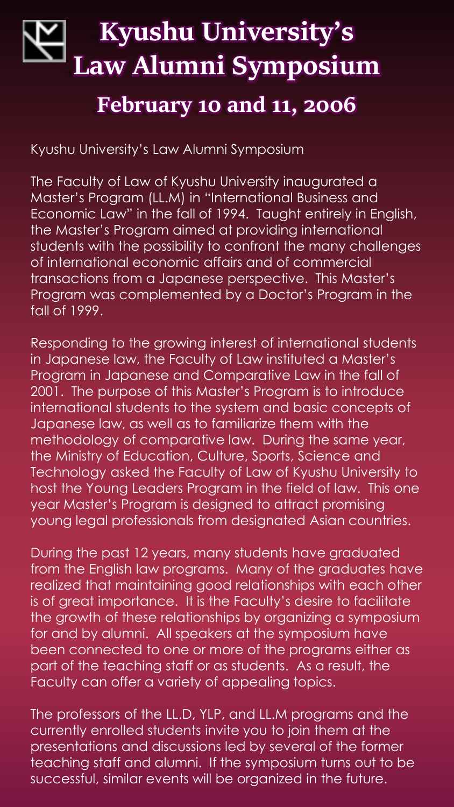# **Kyushu University's Law Alumni Symposium February 10 and 11, 2006**

Kyushu University's Law Alumni Symposium

The Faculty of Law of Kyushu University inaugurated a Master's Program (LL.M) in "International Business and Economic Law" in the fall of 1994. Taught entirely in English, the Master's Program aimed at providing international students with the possibility to confront the many challenges of international economic affairs and of commercial transactions from a Japanese perspective. This Master's Program was complemented by a Doctor's Program in the fall of 1999.

Responding to the growing interest of international students in Japanese law, the Faculty of Law instituted a Master's Program in Japanese and Comparative Law in the fall of 2001. The purpose of this Master's Program is to introduce international students to the system and basic concepts of Japanese law, as well as to familiarize them with the methodology of comparative law. During the same year, the Ministry of Education, Culture, Sports, Science and Technology asked the Faculty of Law of Kyushu University to host the Young Leaders Program in the field of law. This one year Master's Program is designed to attract promising young legal professionals from designated Asian countries.

During the past 12 years, many students have graduated from the English law programs. Many of the graduates have realized that maintaining good relationships with each other is of great importance. It is the Faculty's desire to facilitate the growth of these relationships by organizing a symposium for and by alumni. All speakers at the symposium have been connected to one or more of the programs either as part of the teaching staff or as students. As a result, the Faculty can offer a variety of appealing topics.

The professors of the LL.D, YLP, and LL.M programs and the currently enrolled students invite you to join them at the presentations and discussions led by several of the former teaching staff and alumni. If the symposium turns out to be successful, similar events will be organized in the future.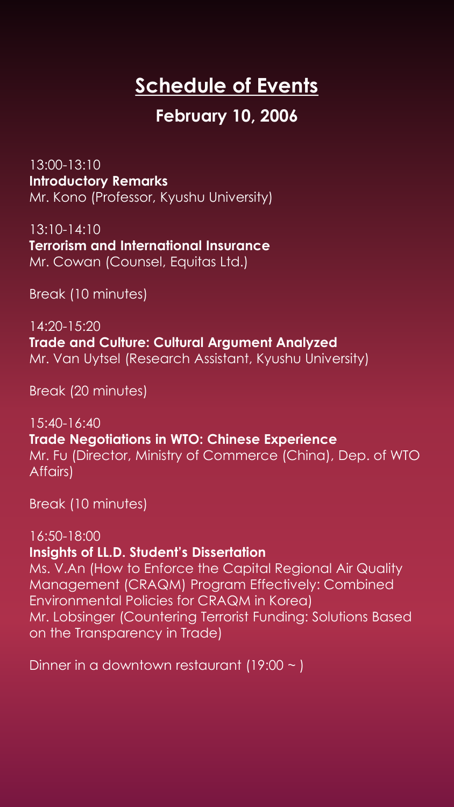# **Schedule of Events**

### **February 10, 2006**

13:00-13:10 **Introductory Remarks** Mr. Kono (Professor, Kyushu University)

13:10-14:10 **Terrorism and International Insurance** Mr. Cowan (Counsel, Equitas Ltd.)

Break (10 minutes)

14:20-15:20 **Trade and Culture: Cultural Argument Analyzed** Mr. Van Uytsel (Research Assistant, Kyushu University)

Break (20 minutes)

15:40-16:40 **Trade Negotiations in WTO: Chinese Experience** Mr. Fu (Director, Ministry of Commerce (China), Dep. of WTO Affairs)

Break (10 minutes)

#### 16:50-18:00

#### **Insights of LL.D. Student's Dissertation**

Ms. V.An (How to Enforce the Capital Regional Air Quality Management (CRAQM) Program Effectively: Combined Environmental Policies for CRAQM in Korea) Mr. Lobsinger (Countering Terrorist Funding: Solutions Based on the Transparency in Trade)

Dinner in a downtown restaurant (19:00  $\sim$  )